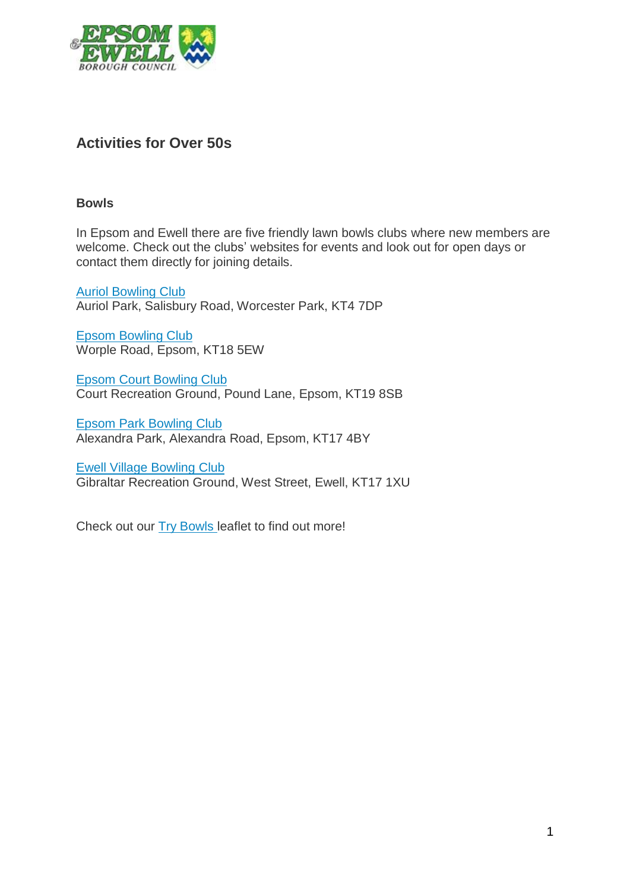

# **Activities for Over 50s**

#### **Bowls**

In Epsom and Ewell there are five friendly lawn bowls clubs where new members are welcome. Check out the clubs' websites for events and look out for open days or contact them directly for joining details.

**Auriol [Bowling](http://www.auriolbowlingclub.com/) Club** Auriol Park, Salisbury Road, Worcester Park, KT4 7DP

Epsom [Bowling](http://www.epsombowlingclub.co.uk/) Club Worple Road, Epsom, KT18 5EW

Epsom Court [Bowling](http://www.epsomcourtbowlingclub.co.uk/) Club Court Recreation Ground, Pound Lane, Epsom, KT19 8SB

Epsom Park [Bowling](http://www.epsomparkbowlingclub.org.uk/) Club Alexandra Park, Alexandra Road, Epsom, KT17 4BY

[Ewell Village](http://ewellvillage.bowlsclub.net/) Bowling Club Gibraltar Recreation Ground, West Street, Ewell, KT17 1XU

Check out our Try [Bowls](http://www.epsom-ewell.gov.uk/sites/default/files/documents/residents/venues-open-space-hire/sports-development/Try%20Bowls%202016.pdf) leaflet to find out more!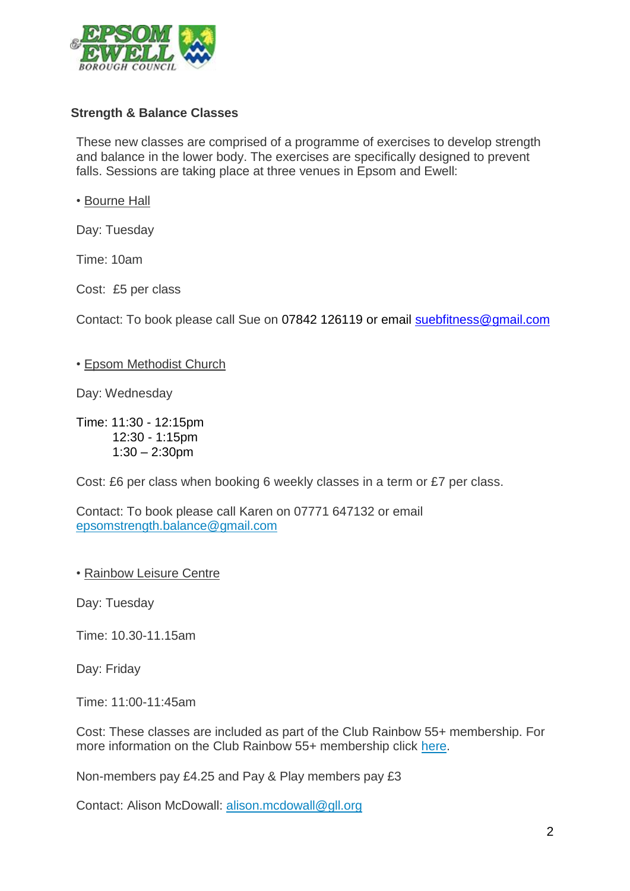

#### **Strength & Balance Classes**

These new classes are comprised of a programme of exercises to develop strength and balance in the lower body. The exercises are specifically designed to prevent falls. Sessions are taking place at three venues in Epsom and Ewell:

• Bourne Hall

Day: Tuesday

Time: 10am

Cost: £5 per class

Contact: To book please call Sue on 07842 126119 or email [suebfitness@gmail.com](mailto:suebfitness@gmail.com)

#### • Epsom Methodist Church

Day: Wednesday

Time: 11:30 - 12:15pm 12:30 - 1:15pm 1:30 – 2:30pm

Cost: £6 per class when booking 6 weekly classes in a term or £7 per class.

Contact: To book please call Karen on 07771 647132 or email [epsomstrength.balance@gmail.com](mailto:epsomstrength.balance@gmail.com)

• Rainbow Leisure Centre

Day: Tuesday

Time: 10.30-11.15am

Day: Friday

Time: 11:00-11:45am

Cost: These classes are included as part of the Club Rainbow 55+ membership. For more information on the Club Rainbow 55+ membership click [here.](http://www.epsom-ewell.gov.uk/sites/default/files/documents/residents/venues-sport-and-leisure-facilities/sports-development/Club%20Rainbow%2055%2B%20Activities%20Leaflet.pdf)

Non-members pay £4.25 and Pay & Play members pay £3

Contact: Alison McDowall: alison.mcdowall@gll.org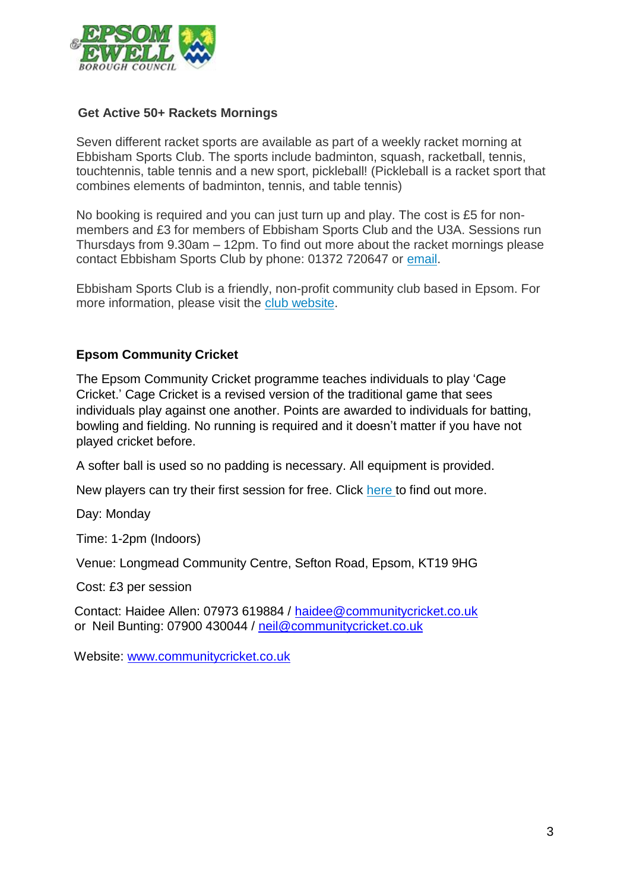

#### **Get Active 50+ Rackets Mornings**

Seven different racket sports are available as part of a weekly racket morning at Ebbisham Sports Club. The sports include badminton, squash, racketball, tennis, touchtennis, table tennis and a new sport, pickleball! (Pickleball is a racket sport that combines elements of badminton, tennis, and table tennis)

No booking is required and you can just turn up and play. The cost is £5 for nonmembers and £3 for members of Ebbisham Sports Club and the U3A. Sessions run Thursdays from 9.30am – 12pm. To find out more about the racket mornings please contact Ebbisham Sports Club by phone: 01372 720647 or [email.](mailto:admin@ebbisham.com)

Ebbisham Sports Club is a friendly, non-profit community club based in Epsom. For more information, please visit the club [website.](http://www.ebbisham.com/)

#### **Epsom Community Cricket**

The Epsom Community Cricket programme teaches individuals to play 'Cage Cricket.' Cage Cricket is a revised version of the traditional game that sees individuals play against one another. Points are awarded to individuals for batting, bowling and fielding. No running is required and it doesn't matter if you have not played cricket before.

A softer ball is used so no padding is necessary. All equipment is provided.

New players can try their first session for free. Click [here](https://www.epsom-ewell.gov.uk/sites/default/files/documents/residents/venues-sport-and-leisure-facilities/sports-development/Over50s/Epsom%20O%2750s%20Community%20Cricket.pdf) to find out more.

Day: Monday

Time: 1-2pm (Indoors)

Venue: Longmead Community Centre, Sefton Road, Epsom, KT19 9HG

Cost: £3 per session

Contact: Haidee Allen: 07973 619884 / [haidee@communitycricket.co.uk](mailto:haidee@communitycricket.co.uk) or Neil Bunting: 07900 430044 / [neil@communitycricket.co.uk](mailto:neil@communitycricket.co.uk)

Website: [www.communitycricket.co.uk](http://www.communitycricket.co.uk/)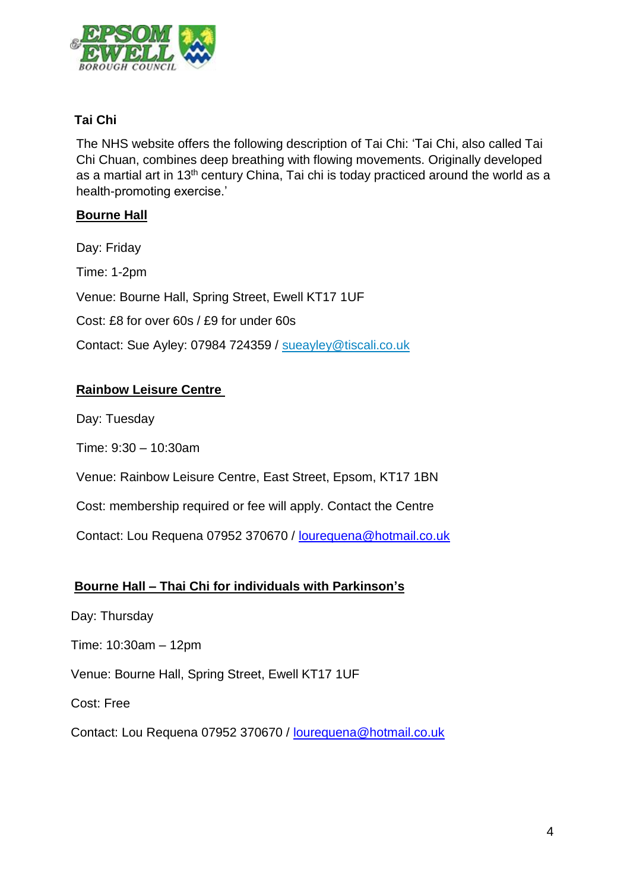

# **Tai Chi**

The NHS website offers the following description of Tai Chi: 'Tai Chi, also called Tai Chi Chuan, combines deep breathing with flowing movements. Originally developed as a martial art in 13<sup>th</sup> century China, Tai chi is today practiced around the world as a health-promoting exercise.'

### **Bourne Hall**

Day: Friday Time: 1-2pm Venue: Bourne Hall, Spring Street, Ewell KT17 1UF Cost: £8 for over 60s / £9 for under 60s Contact: Sue Ayley: 07984 724359 / [sueayley@tiscali.co.uk](mailto:sueayley@tiscali.co.uk)

# **Rainbow Leisure Centre**

Day: Tuesday

Time: 9:30 – 10:30am

Venue: Rainbow Leisure Centre, East Street, Epsom, KT17 1BN

Cost: membership required or fee will apply. Contact the Centre

Contact: Lou Requena 07952 370670 / [lourequena@hotmail.co.uk](mailto:lourequena@hotmail.co.uk)

#### **Bourne Hall – Thai Chi for individuals with Parkinson's**

Day: Thursday

Time: 10:30am – 12pm

Venue: Bourne Hall, Spring Street, Ewell KT17 1UF

Cost: Free

Contact: Lou Requena 07952 370670 / [lourequena@hotmail.co.uk](mailto:lourequena@hotmail.co.uk)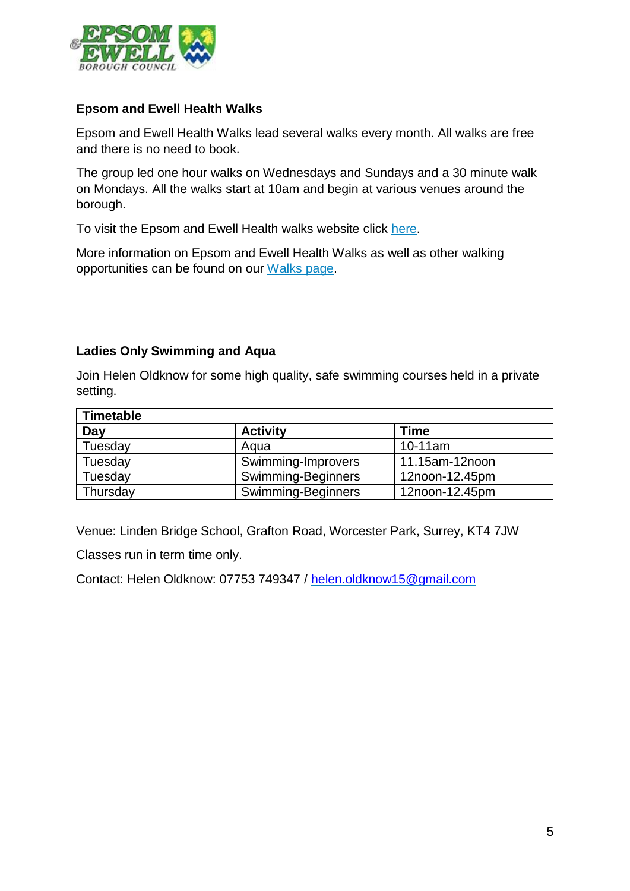

### **Epsom and Ewell Health Walks**

Epsom and Ewell Health Walks lead several walks every month. All walks are free and there is no need to book.

The group led one hour walks on Wednesdays and Sundays and a 30 minute walk on Mondays. All the walks start at 10am and begin at various venues around the borough.

To visit the Epsom and Ewell Health walks website click [here.](https://www.epsomandewellhealthwalks.org.uk/)

More information on Epsom and Ewell Health Walks as well as other walking opportunities can be found on our [Walks](http://www.epsom-ewell.gov.uk/walks) page.

#### **Ladies Only Swimming and Aqua**

Join Helen Oldknow for some high quality, safe swimming courses held in a private setting.

| <b>Timetable</b> |                    |                |
|------------------|--------------------|----------------|
| Day              | <b>Activity</b>    | <b>Time</b>    |
| Tuesday          | Aqua               | $10-11$ am     |
| Tuesday          | Swimming-Improvers | 11.15am-12noon |
| Tuesday          | Swimming-Beginners | 12noon-12.45pm |
| Thursday         | Swimming-Beginners | 12noon-12.45pm |

Venue: Linden Bridge School, Grafton Road, Worcester Park, Surrey, KT4 7JW

Classes run in term time only.

Contact: Helen Oldknow: 07753 749347 / [helen.oldknow15@gmail.com](mailto:helen.oldknow15@gmail.com)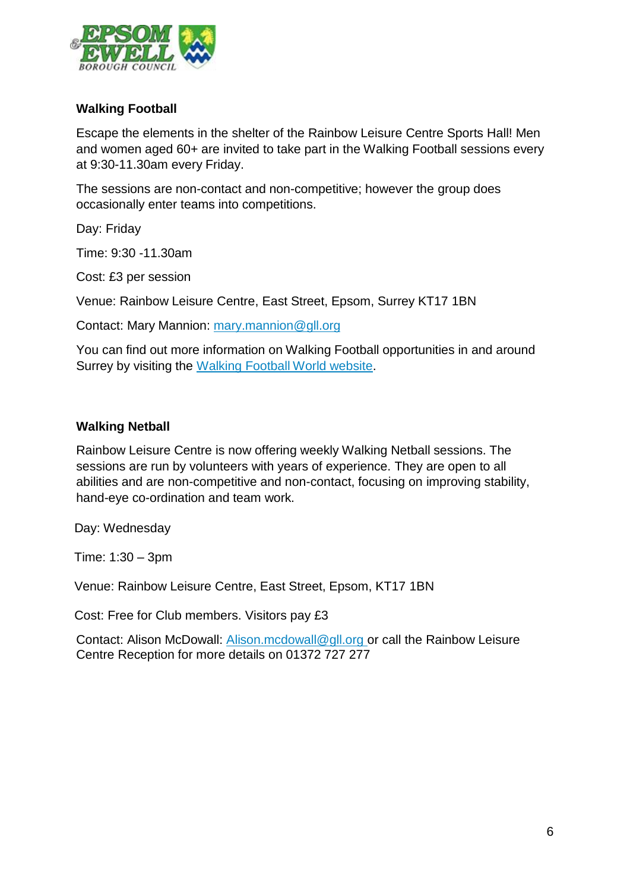

### **Walking Football**

Escape the elements in the shelter of the Rainbow Leisure Centre Sports Hall! Men and women aged 60+ are invited to take part in the Walking Football sessions every at 9:30-11.30am every Friday.

The sessions are non-contact and non-competitive; however the group does occasionally enter teams into competitions.

Day: Friday

Time: 9:30 -11.30am

Cost: £3 per session

Venue: Rainbow Leisure Centre, East Street, Epsom, Surrey KT17 1BN

Contact: Mary Mannion: [mary.mannion@gll.org](mailto:mary.mannion@gll.org)

You can find out more information on Walking Football opportunities in and around Surrey by visiting the Walking Football [World website.](http://www.walkingfootballworld.com/)

#### **Walking Netball**

Rainbow Leisure Centre is now offering weekly Walking Netball sessions. The sessions are run by volunteers with years of experience. They are open to all abilities and are non-competitive and non-contact, focusing on improving stability, hand-eye co-ordination and team work.

Day: Wednesday

Time: 1:30 – 3pm

Venue: Rainbow Leisure Centre, East Street, Epsom, KT17 1BN

Cost: Free for Club members. Visitors pay £3

Contact: Alison McDowall: [Alison.mcdowall@gll.org](mailto:Alison.mcdowall@gll.org) or call the Rainbow Leisure Centre Reception for more details on 01372 727 277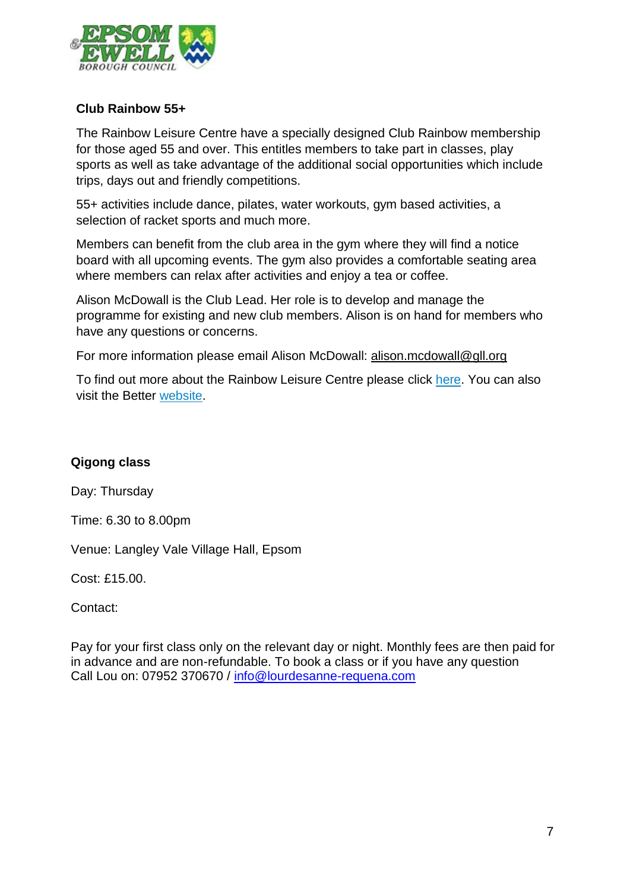

### **Club Rainbow 55+**

The Rainbow Leisure Centre have a specially designed Club Rainbow membership for those aged 55 and over. This entitles members to take part in classes, play sports as well as take advantage of the additional social opportunities which include trips, days out and friendly competitions.

55+ activities include dance, pilates, water workouts, gym based activities, a selection of racket sports and much more.

Members can benefit from the club area in the gym where they will find a notice board with all upcoming events. The gym also provides a comfortable seating area where members can relax after activities and enjoy a tea or coffee.

Alison McDowall is the Club Lead. Her role is to develop and manage the programme for existing and new club members. Alison is on hand for members who have any questions or concerns.

For more information please email Alison McDowall: [alison.mcdowall@gll.org](mailto:alison.mcdowall@gll.org)

To find out more about the Rainbow Leisure Centre please click [here.](http://www.epsom-ewell.gov.uk/sites/default/files/documents/residents/venues-sport-and-leisure-facilities/sports-development/Club%20Rainbow%2055%2B%20Activities%20Leaflet.pdf) You can also visit the Better [website.](http://www.better.org.uk/leisure-centre/epsom-and-ewell/rainbow-leisure-centre)

#### **Qigong class**

Day: Thursday

Time: 6.30 to 8.00pm

Venue: Langley Vale Village Hall, Epsom

Cost: £15.00.

Contact:

Pay for your first class only on the relevant day or night. Monthly fees are then paid for in advance and are non-refundable. To book a class or if you have any question Call Lou on: 07952 370670 / [info@lourdesanne-requena.com](mailto:info@lourdesanne-requena.com)